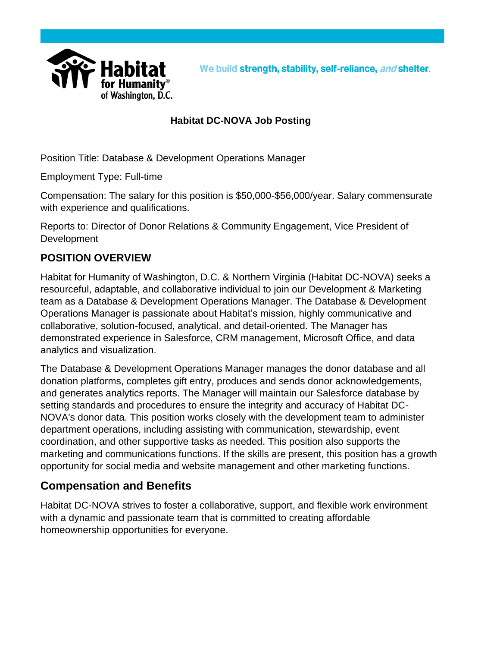

#### **Habitat DC-NOVA Job Posting**

Position Title: Database & Development Operations Manager

Employment Type: Full-time

Compensation: The salary for this position is \$50,000-\$56,000/year. Salary commensurate with experience and qualifications.

Reports to: Director of Donor Relations & Community Engagement, Vice President of **Development** 

#### **POSITION OVERVIEW**

Habitat for Humanity of Washington, D.C. & Northern Virginia (Habitat DC-NOVA) seeks a resourceful, adaptable, and collaborative individual to join our Development & Marketing team as a Database & Development Operations Manager. The Database & Development Operations Manager is passionate about Habitat's mission, highly communicative and collaborative, solution-focused, analytical, and detail-oriented. The Manager has demonstrated experience in Salesforce, CRM management, Microsoft Office, and data analytics and visualization.

The Database & Development Operations Manager manages the donor database and all donation platforms, completes gift entry, produces and sends donor acknowledgements, and generates analytics reports. The Manager will maintain our Salesforce database by setting standards and procedures to ensure the integrity and accuracy of Habitat DC-NOVA's donor data. This position works closely with the development team to administer department operations, including assisting with communication, stewardship, event coordination, and other supportive tasks as needed. This position also supports the marketing and communications functions. If the skills are present, this position has a growth opportunity for social media and website management and other marketing functions.

### **Compensation and Benefits**

Habitat DC-NOVA strives to foster a collaborative, support, and flexible work environment with a dynamic and passionate team that is committed to creating affordable homeownership opportunities for everyone.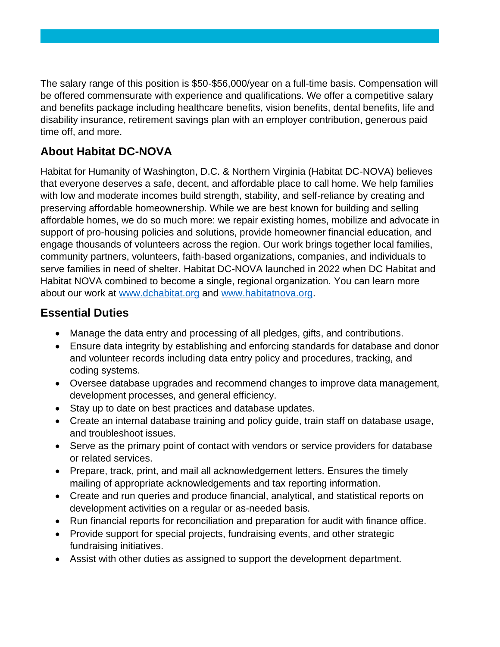The salary range of this position is \$50-\$56,000/year on a full-time basis. Compensation will be offered commensurate with experience and qualifications. We offer a competitive salary and benefits package including healthcare benefits, vision benefits, dental benefits, life and disability insurance, retirement savings plan with an employer contribution, generous paid time off, and more.

## **About Habitat DC-NOVA**

Habitat for Humanity of Washington, D.C. & Northern Virginia (Habitat DC-NOVA) believes that everyone deserves a safe, decent, and affordable place to call home. We help families with low and moderate incomes build strength, stability, and self-reliance by creating and preserving affordable homeownership. While we are best known for building and selling affordable homes, we do so much more: we repair existing homes, mobilize and advocate in support of pro-housing policies and solutions, provide homeowner financial education, and engage thousands of volunteers across the region. Our work brings together local families, community partners, volunteers, faith-based organizations, companies, and individuals to serve families in need of shelter. Habitat DC-NOVA launched in 2022 when DC Habitat and Habitat NOVA combined to become a single, regional organization. You can learn more about our work at [www.dchabitat.org](http://www.dchabitat.org/) and [www.habitatnova.org.](http://www.habitatnova.org/)

### **Essential Duties**

- Manage the data entry and processing of all pledges, gifts, and contributions.
- Ensure data integrity by establishing and enforcing standards for database and donor and volunteer records including data entry policy and procedures, tracking, and coding systems.
- Oversee database upgrades and recommend changes to improve data management, development processes, and general efficiency.
- Stay up to date on best practices and database updates.
- Create an internal database training and policy guide, train staff on database usage, and troubleshoot issues.
- Serve as the primary point of contact with vendors or service providers for database or related services.
- Prepare, track, print, and mail all acknowledgement letters. Ensures the timely mailing of appropriate acknowledgements and tax reporting information.
- Create and run queries and produce financial, analytical, and statistical reports on development activities on a regular or as-needed basis.
- Run financial reports for reconciliation and preparation for audit with finance office.
- Provide support for special projects, fundraising events, and other strategic fundraising initiatives.
- Assist with other duties as assigned to support the development department.